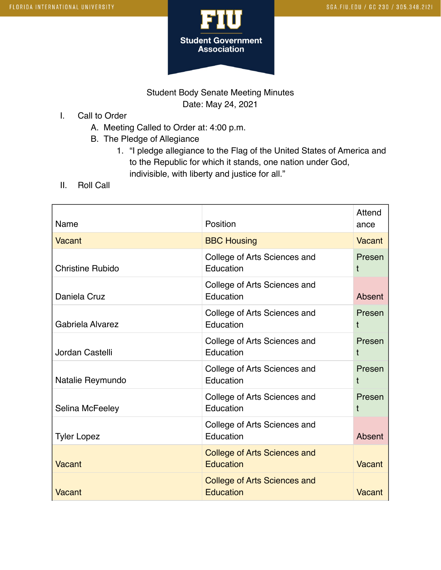

## Student Body Senate Meeting Minutes Date: May 24, 2021

- I. Call to Order
	- A. Meeting Called to Order at: 4:00 p.m.
	- B. The Pledge of Allegiance
		- 1. "I pledge allegiance to the Flag of the United States of America and to the Republic for which it stands, one nation under God, indivisible, with liberty and justice for all."
- II. Roll Call

| Name                    | Position                                                | Attend<br>ance |
|-------------------------|---------------------------------------------------------|----------------|
| Vacant                  | <b>BBC Housing</b>                                      | Vacant         |
| <b>Christine Rubido</b> | College of Arts Sciences and<br>Education               | Presen<br>t    |
| Daniela Cruz            | College of Arts Sciences and<br>Education               | Absent         |
| Gabriela Alvarez        | College of Arts Sciences and<br>Education               | Presen<br>t    |
| Jordan Castelli         | College of Arts Sciences and<br>Education               | Presen<br>t    |
| Natalie Reymundo        | College of Arts Sciences and<br>Education               | Presen<br>t    |
| Selina McFeeley         | College of Arts Sciences and<br>Education               | Presen<br>t    |
| <b>Tyler Lopez</b>      | College of Arts Sciences and<br>Education               | Absent         |
| Vacant                  | <b>College of Arts Sciences and</b><br><b>Education</b> | <b>Vacant</b>  |
| <b>Vacant</b>           | <b>College of Arts Sciences and</b><br><b>Education</b> | Vacant         |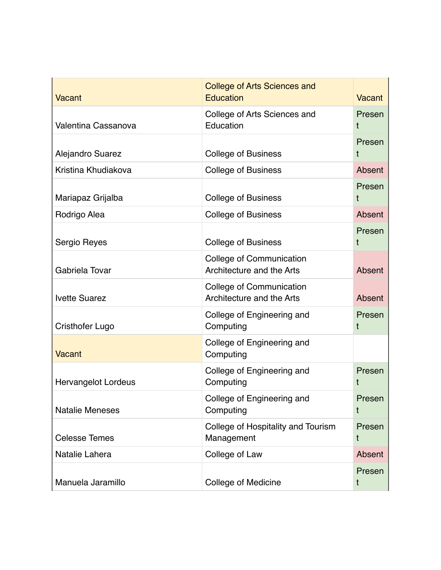| <b>Vacant</b>              | <b>College of Arts Sciences and</b><br><b>Education</b>      | <b>Vacant</b> |
|----------------------------|--------------------------------------------------------------|---------------|
| Valentina Cassanova        | College of Arts Sciences and<br>Education                    | Presen<br>t   |
| Alejandro Suarez           | <b>College of Business</b>                                   | Presen<br>t   |
| Kristina Khudiakova        | <b>College of Business</b>                                   | Absent        |
| Mariapaz Grijalba          | <b>College of Business</b>                                   | Presen<br>t   |
| Rodrigo Alea               | <b>College of Business</b>                                   | Absent        |
| Sergio Reyes               | <b>College of Business</b>                                   | Presen<br>t   |
| Gabriela Tovar             | <b>College of Communication</b><br>Architecture and the Arts | Absent        |
| <b>Ivette Suarez</b>       | College of Communication<br>Architecture and the Arts        | Absent        |
| <b>Cristhofer Lugo</b>     | College of Engineering and<br>Computing                      | Presen<br>t   |
| <b>Vacant</b>              | College of Engineering and<br>Computing                      |               |
| <b>Hervangelot Lordeus</b> | College of Engineering and<br>Computing                      | Presen<br>t   |
| <b>Natalie Meneses</b>     | College of Engineering and<br>Computing                      | Presen<br>t   |
| <b>Celesse Temes</b>       | College of Hospitality and Tourism<br>Management             | Presen<br>t   |
| Natalie Lahera             | College of Law                                               | Absent        |
| Manuela Jaramillo          | College of Medicine                                          | Presen<br>t   |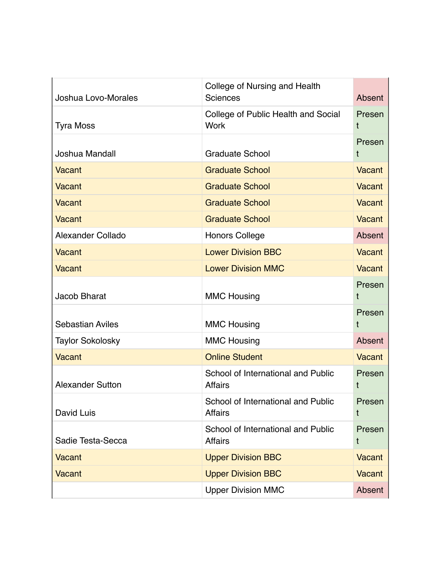| Joshua Lovo-Morales     | College of Nursing and Health<br><b>Sciences</b>     | Absent        |
|-------------------------|------------------------------------------------------|---------------|
| <b>Tyra Moss</b>        | College of Public Health and Social<br><b>Work</b>   | Presen<br>Ť   |
|                         |                                                      | Presen        |
| Joshua Mandall          | <b>Graduate School</b>                               | t             |
| Vacant                  | <b>Graduate School</b>                               | Vacant        |
| Vacant                  | <b>Graduate School</b>                               | Vacant        |
| Vacant                  | <b>Graduate School</b>                               | Vacant        |
| <b>Vacant</b>           | <b>Graduate School</b>                               | Vacant        |
| Alexander Collado       | <b>Honors College</b>                                | Absent        |
| Vacant                  | <b>Lower Division BBC</b>                            | Vacant        |
| Vacant                  | <b>Lower Division MMC</b>                            | Vacant        |
| Jacob Bharat            | <b>MMC Housing</b>                                   | Presen<br>t   |
| <b>Sebastian Aviles</b> | <b>MMC Housing</b>                                   | Presen<br>t   |
| <b>Taylor Sokolosky</b> | <b>MMC Housing</b>                                   | Absent        |
| <b>Vacant</b>           | <b>Online Student</b>                                | Vacant        |
| <b>Alexander Sutton</b> | School of International and Public<br><b>Affairs</b> | Presen<br>t   |
| David Luis              | School of International and Public<br><b>Affairs</b> | Presen<br>t   |
| Sadie Testa-Secca       | School of International and Public<br><b>Affairs</b> | Presen<br>t   |
| <b>Vacant</b>           | <b>Upper Division BBC</b>                            | <b>Vacant</b> |
| Vacant                  | <b>Upper Division BBC</b>                            | Vacant        |
|                         | <b>Upper Division MMC</b>                            | Absent        |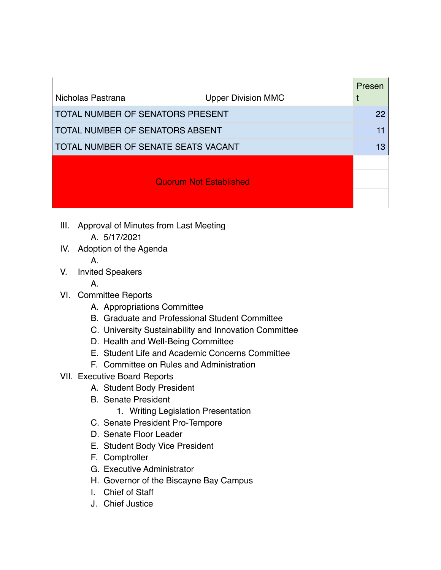| Nicholas Pastrana                      | <b>Upper Division MMC</b> | Presen |
|----------------------------------------|---------------------------|--------|
|                                        |                           | 22     |
| TOTAL NUMBER OF SENATORS PRESENT       |                           |        |
| <b>TOTAL NUMBER OF SENATORS ABSENT</b> |                           |        |
| TOTAL NUMBER OF SENATE SEATS VACANT    |                           |        |
|                                        |                           |        |
| <b>Quorum Not Established</b>          |                           |        |
|                                        |                           |        |

- III. Approval of Minutes from Last Meeting A. 5/17/2021
- IV. Adoption of the Agenda A.
	-
- V. Invited Speakers
	- A.
- VI. Committee Reports
	- A. Appropriations Committee
	- B. Graduate and Professional Student Committee
	- C. University Sustainability and Innovation Committee
	- D. Health and Well-Being Committee
	- E. Student Life and Academic Concerns Committee
	- F. Committee on Rules and Administration
- VII. Executive Board Reports
	- A. Student Body President
	- B. Senate President
		- 1. Writing Legislation Presentation
	- C. Senate President Pro-Tempore
	- D. Senate Floor Leader
	- E. Student Body Vice President
	- F. Comptroller
	- G. Executive Administrator
	- H. Governor of the Biscayne Bay Campus
	- I. Chief of Staff
	- J. Chief Justice